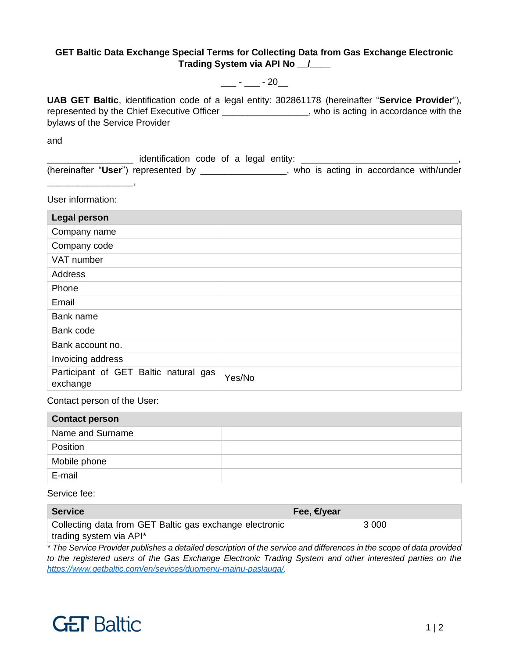## **GET Baltic Data Exchange Special Terms for Collecting Data from Gas Exchange Electronic Trading System via API No \_\_/\_\_\_\_**

 $\frac{1}{2}$  -  $\frac{1}{20}$  - 20

**UAB GET Baltic**, identification code of a legal entity: 302861178 (hereinafter "**Service Provider**"), represented by the Chief Executive Officer \_\_\_\_\_\_\_\_\_\_\_\_\_\_\_\_\_, who is acting in accordance with the bylaws of the Service Provider

and

\_\_\_\_\_\_\_\_\_\_\_\_\_\_\_\_\_ identification code of a legal entity: \_\_\_\_\_\_\_\_\_\_\_\_\_\_\_\_\_\_\_\_\_\_\_\_\_\_\_\_\_\_\_, (hereinafter "**User**") represented by \_\_\_\_\_\_\_\_\_\_\_\_\_\_\_\_\_, who is acting in accordance with/under \_\_\_\_\_\_\_\_\_\_\_\_\_\_\_\_\_,

User information:

| <b>Legal person</b>                               |        |
|---------------------------------------------------|--------|
| Company name                                      |        |
| Company code                                      |        |
| VAT number                                        |        |
| Address                                           |        |
| Phone                                             |        |
| Email                                             |        |
| Bank name                                         |        |
| Bank code                                         |        |
| Bank account no.                                  |        |
| Invoicing address                                 |        |
| Participant of GET Baltic natural gas<br>exchange | Yes/No |

Contact person of the User:

| <b>Contact person</b> |  |
|-----------------------|--|
| Name and Surname      |  |
| Position              |  |
| Mobile phone          |  |
| E-mail                |  |

Service fee:

| <b>Service</b>                                          | Fee, €/year |
|---------------------------------------------------------|-------------|
| Collecting data from GET Baltic gas exchange electronic | 3 0 0 0     |
| trading system via API*                                 |             |

*\* The Service Provider publishes a detailed description of the service and differences in the scope of data provided to the registered users of the Gas Exchange Electronic Trading System and other interested parties on the [https://www.getbaltic.com/en/sevices/duomenu-mainu-paslauga/.](https://www.getbaltic.com/en/sevices/duomenu-mainu-paslauga/)*